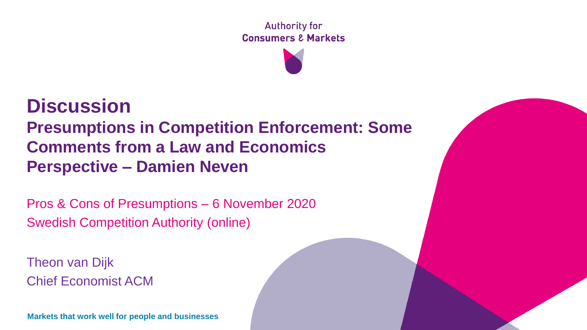**Authority for Consumers & Markets** 

### **Discussion Presumptions in Competition Enforcement: Some Comments from a Law and Economics Perspective – Damien Neven**

Pros & Cons of Presumptions – 6 November 2020 Swedish Competition Authority (online)

Theon van Dijk Chief Economist ACM

**Markets that work well for people and businesses**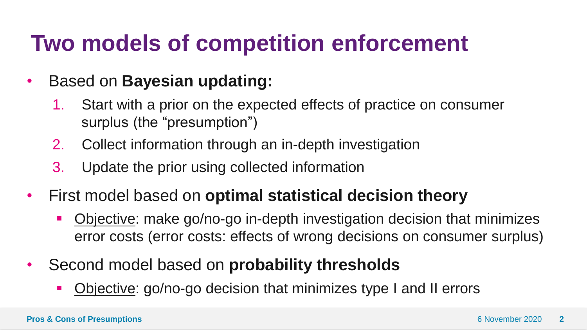### **Two models of competition enforcement**

### • Based on **Bayesian updating:**

- 1. Start with a prior on the expected effects of practice on consumer surplus (the "presumption")
- 2. Collect information through an in-depth investigation
- 3. Update the prior using collected information
- First model based on **optimal statistical decision theory**
	- **Diective:** make go/no-go in-depth investigation decision that minimizes error costs (error costs: effects of wrong decisions on consumer surplus)
- Second model based on **probability thresholds** 
	- **Diective: go/no-go decision that minimizes type I and II errors**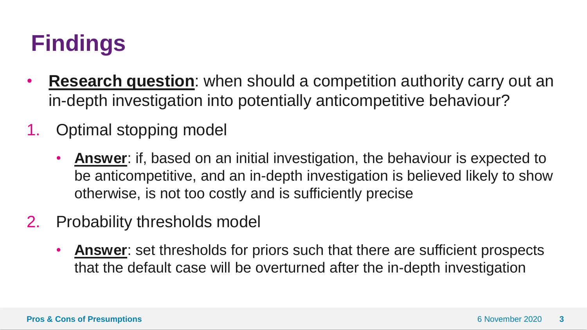# **Findings**

- **Research question**: when should a competition authority carry out an in-depth investigation into potentially anticompetitive behaviour?
- 1. Optimal stopping model
	- **Answer**: if, based on an initial investigation, the behaviour is expected to be anticompetitive, and an in-depth investigation is believed likely to show otherwise, is not too costly and is sufficiently precise
- 2. Probability thresholds model
	- **Answer**: set thresholds for priors such that there are sufficient prospects that the default case will be overturned after the in-depth investigation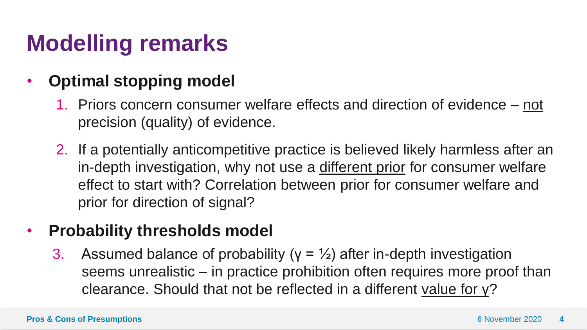# **Modelling remarks**

### • **Optimal stopping model**

- 1. Priors concern consumer welfare effects and direction of evidence not precision (quality) of evidence.
- 2. If a potentially anticompetitive practice is believed likely harmless after an in-depth investigation, why not use a different prior for consumer welfare effect to start with? Correlation between prior for consumer welfare and prior for direction of signal?

#### • **Probability thresholds model**

3. Assumed balance of probability ( $y = \frac{1}{2}$ ) after in-depth investigation seems unrealistic – in practice prohibition often requires more proof than clearance. Should that not be reflected in a different value for γ?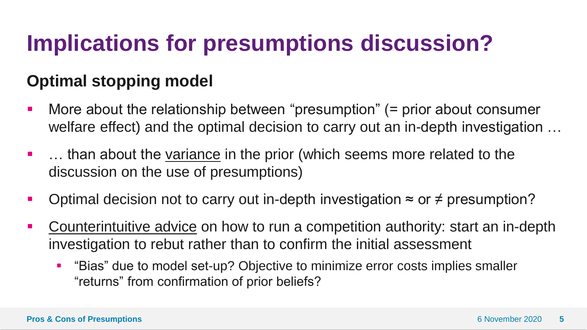# **Implications for presumptions discussion?**

### **Optimal stopping model**

- More about the relationship between "presumption" (= prior about consumer welfare effect) and the optimal decision to carry out an in-depth investigation …
- **•** ... than about the variance in the prior (which seems more related to the discussion on the use of presumptions)
- Optimal decision not to carry out in-depth investigation  $\approx$  or  $\neq$  presumption?
- Counterintuitive advice on how to run a competition authority: start an in-depth investigation to rebut rather than to confirm the initial assessment
	- "Bias" due to model set-up? Objective to minimize error costs implies smaller "returns" from confirmation of prior beliefs?